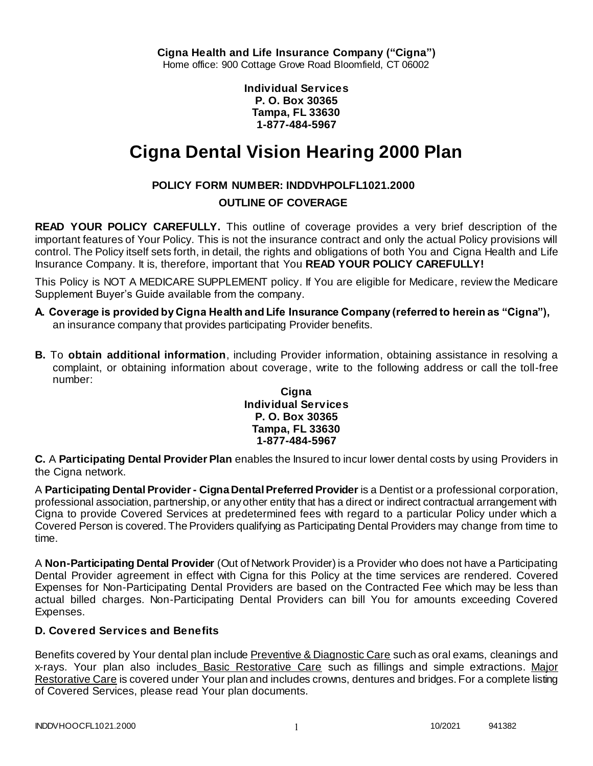**Individual Services P. O. Box 30365 Tampa, FL 33630 1-877-484-5967**

# **Cigna Dental Vision Hearing 2000 Plan**

# **POLICY FORM NUMBER: INDDVHPOLFL1021.2000**

# **OUTLINE OF COVERAGE**

**READ YOUR POLICY CAREFULLY.** This outline of coverage provides a very brief description of the important features of Your Policy. This is not the insurance contract and only the actual Policy provisions will control. The Policy itself sets forth, in detail, the rights and obligations of both You and Cigna Health and Life Insurance Company. It is, therefore, important that You **READ YOUR POLICY CAREFULLY!** 

This Policy is NOT A MEDICARE SUPPLEMENT policy. If You are eligible for Medicare, review the Medicare Supplement Buyer's Guide available from the company.

- **A. Coverage is provided by Cigna Health and Life Insurance Company (referred to herein as "Cigna"),**  an insurance company that provides participating Provider benefits.
- **B.** To **obtain additional information**, including Provider information, obtaining assistance in resolving a complaint, or obtaining information about coverage, write to the following address or call the toll-free number:

### **Cigna Individual Services P. O. Box 30365 Tampa, FL 33630 1-877-484-5967**

**C.** A **Participating Dental Provider Plan** enables the Insured to incur lower dental costs by using Providers in the Cigna network.

A **Participating Dental Provider - Cigna Dental Preferred Provider** is a Dentist or a professional corporation, professional association, partnership, or any other entity that has a direct or indirect contractual arrangement with Cigna to provide Covered Services at predetermined fees with regard to a particular Policy under which a Covered Person is covered. The Providers qualifying as Participating Dental Providers may change from time to time.

A **Non-Participating Dental Provider** (Out of Network Provider) is a Provider who does not have a Participating Dental Provider agreement in effect with Cigna for this Policy at the time services are rendered. Covered Expenses for Non-Participating Dental Providers are based on the Contracted Fee which may be less than actual billed charges. Non-Participating Dental Providers can bill You for amounts exceeding Covered Expenses.

# **D. Covered Services and Benefits**

Benefits covered by Your dental plan include Preventive & Diagnostic Care such as oral exams, cleanings and x-rays. Your plan also includes Basic Restorative Care such as fillings and simple extractions. Major Restorative Care is covered under Your plan and includes crowns, dentures and bridges. For a complete listing of Covered Services, please read Your plan documents.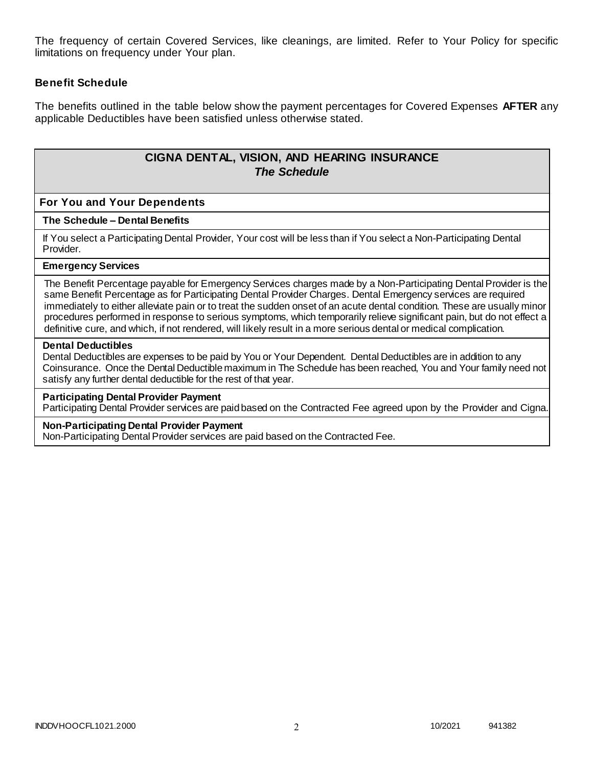The frequency of certain Covered Services, like cleanings, are limited. Refer to Your Policy for specific limitations on frequency under Your plan.

### **Benefit Schedule**

The benefits outlined in the table below show the payment percentages for Covered Expenses **AFTER** any applicable Deductibles have been satisfied unless otherwise stated.

# **CIGNA DENTAL, VISION, AND HEARING INSURANCE** *The Schedule*

### **For You and Your Dependents**

#### **The Schedule – Dental Benefits**

If You select a Participating Dental Provider, Your cost will be less than if You select a Non-Participating Dental Provider.

#### **Emergency Services**

The Benefit Percentage payable for Emergency Services charges made by a Non-Participating Dental Provider is the same Benefit Percentage as for Participating Dental Provider Charges. Dental Emergency services are required immediately to either alleviate pain or to treat the sudden onset of an acute dental condition. These are usually minor procedures performed in response to serious symptoms, which temporarily relieve significant pain, but do not effect a definitive cure, and which, if not rendered, will likely result in a more serious dental or medical complication.

#### **Dental Deductibles**

Dental Deductibles are expenses to be paid by You or Your Dependent. Dental Deductibles are in addition to any Coinsurance. Once the Dental Deductible maximum in The Schedule has been reached, You and Your family need not satisfy any further dental deductible for the rest of that year.

#### **Participating Dental Provider Payment**

Participating Dental Provider services are paid based on the Contracted Fee agreed upon by the Provider and Cigna.

#### **Non-Participating Dental Provider Payment**

Non-Participating Dental Provider services are paid based on the Contracted Fee.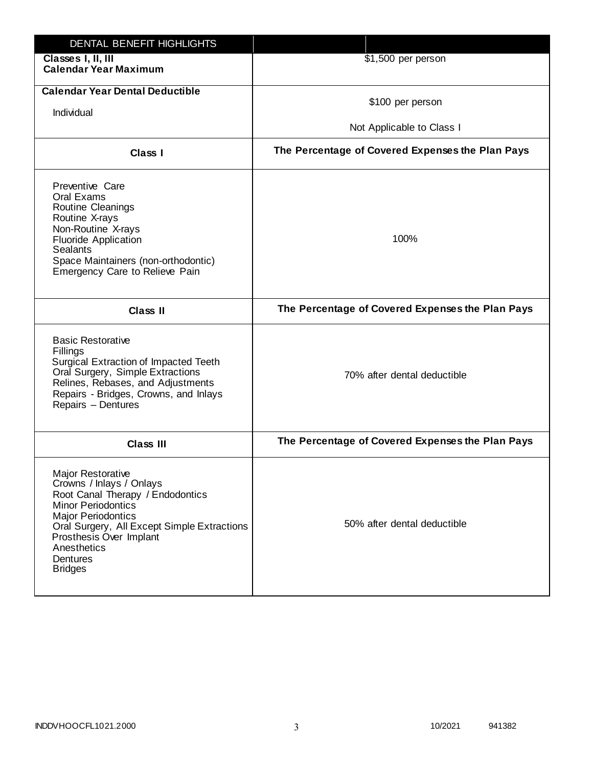| DENTAL BENEFIT HIGHLIGHTS                                                                                                                                                                                                                                          |                                                  |
|--------------------------------------------------------------------------------------------------------------------------------------------------------------------------------------------------------------------------------------------------------------------|--------------------------------------------------|
| Classes I, II, III<br><b>Calendar Year Maximum</b>                                                                                                                                                                                                                 | \$1,500 per person                               |
| <b>Calendar Year Dental Deductible</b><br>Individual                                                                                                                                                                                                               | \$100 per person<br>Not Applicable to Class I    |
| Class I                                                                                                                                                                                                                                                            | The Percentage of Covered Expenses the Plan Pays |
| Preventive Care<br>Oral Exams<br>Routine Cleanings<br>Routine X-rays<br>Non-Routine X-rays<br><b>Fluoride Application</b><br><b>Sealants</b><br>Space Maintainers (non-orthodontic)<br>Emergency Care to Relieve Pain                                              | 100%                                             |
| <b>Class II</b>                                                                                                                                                                                                                                                    | The Percentage of Covered Expenses the Plan Pays |
| <b>Basic Restorative</b><br>Fillings<br>Surgical Extraction of Impacted Teeth<br>Oral Surgery, Simple Extractions<br>Relines, Rebases, and Adjustments<br>Repairs - Bridges, Crowns, and Inlays<br>Repairs - Dentures                                              | 70% after dental deductible                      |
| <b>Class III</b>                                                                                                                                                                                                                                                   | The Percentage of Covered Expenses the Plan Pays |
| Major Restorative<br>Crowns / Inlays / Onlays<br>Root Canal Therapy / Endodontics<br><b>Minor Periodontics</b><br><b>Major Periodontics</b><br>Oral Surgery, All Except Simple Extractions<br>Prosthesis Over Implant<br>Anesthetics<br>Dentures<br><b>Bridges</b> | 50% after dental deductible                      |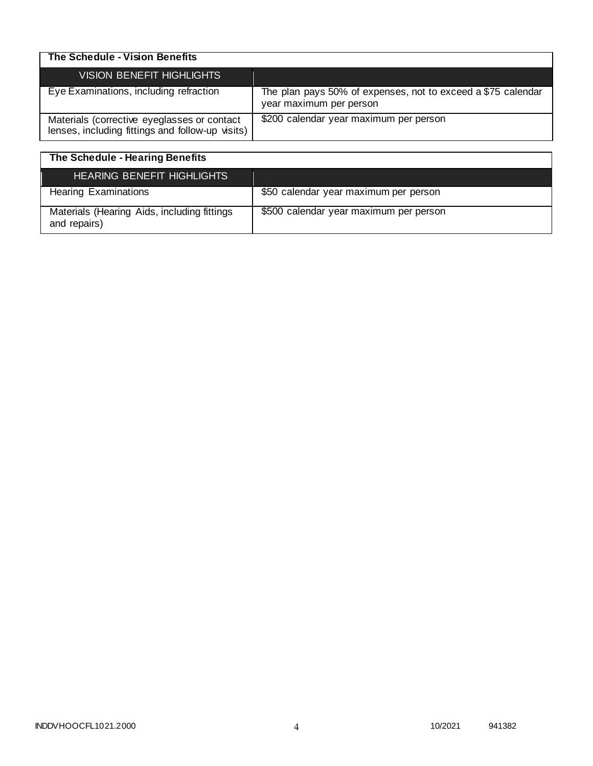| The Schedule - Vision Benefits                                                                  |                                                                                         |
|-------------------------------------------------------------------------------------------------|-----------------------------------------------------------------------------------------|
| VISION BENEFIT HIGHLIGHTS                                                                       |                                                                                         |
| Eye Examinations, including refraction                                                          | The plan pays 50% of expenses, not to exceed a \$75 calendar<br>year maximum per person |
| Materials (corrective eyeglasses or contact<br>lenses, including fittings and follow-up visits) | \$200 calendar year maximum per person                                                  |

| The Schedule - Hearing Benefits                             |                                        |
|-------------------------------------------------------------|----------------------------------------|
| <b>HEARING BENEFIT HIGHLIGHTS</b>                           |                                        |
| <b>Hearing Examinations</b>                                 | \$50 calendar year maximum per person  |
| Materials (Hearing Aids, including fittings<br>and repairs) | \$500 calendar year maximum per person |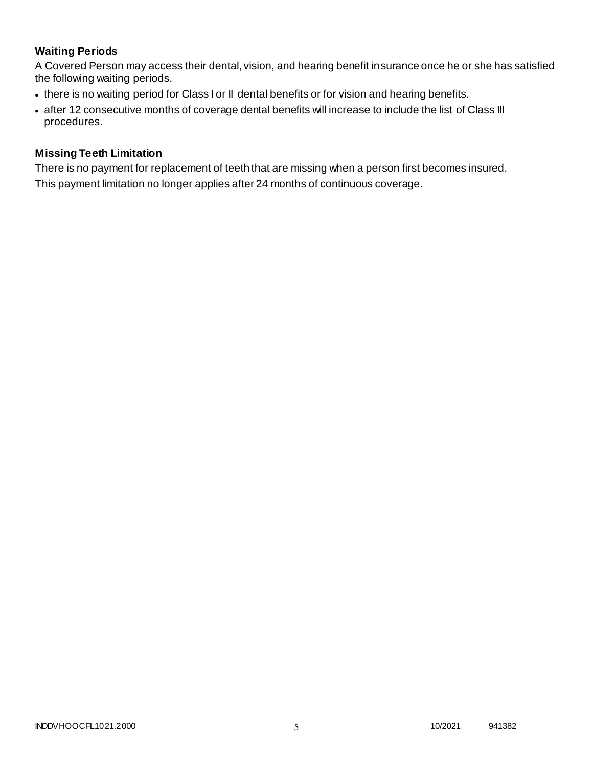# **Waiting Periods**

A Covered Person may access their dental, vision, and hearing benefit insurance once he or she has satisfied the following waiting periods.

- there is no waiting period for Class I or II dental benefits or for vision and hearing benefits.
- after 12 consecutive months of coverage dental benefits will increase to include the list of Class III procedures.

## **Missing Teeth Limitation**

There is no payment for replacement of teeth that are missing when a person first becomes insured. This payment limitation no longer applies after 24 months of continuous coverage.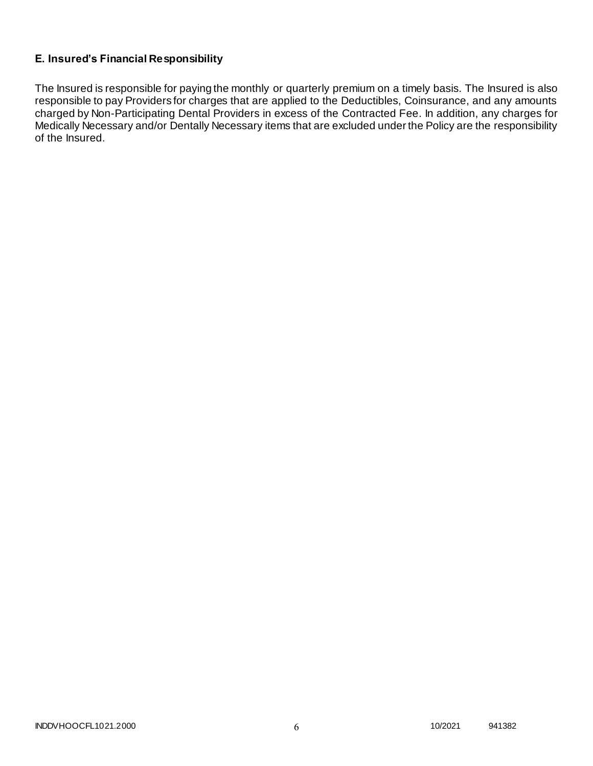# **E. Insured's Financial Responsibility**

The Insured is responsible for paying the monthly or quarterly premium on a timely basis. The Insured is also responsible to pay Providers for charges that are applied to the Deductibles, Coinsurance, and any amounts charged by Non-Participating Dental Providers in excess of the Contracted Fee. In addition, any charges for Medically Necessary and/or Dentally Necessary items that are excluded under the Policy are the responsibility of the Insured.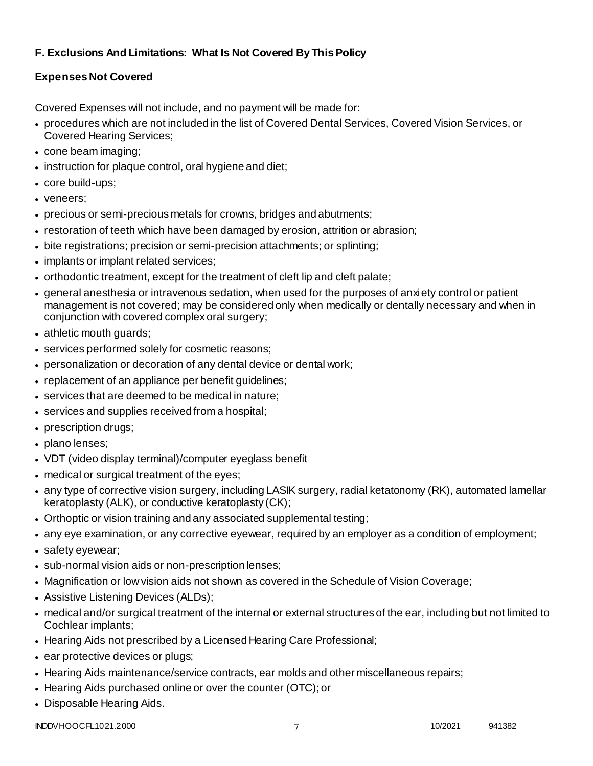# **F. Exclusions And Limitations: What Is Not Covered By This Policy**

# **Expenses Not Covered**

Covered Expenses will not include, and no payment will be made for:

- procedures which are not included in the list of Covered Dental Services, Covered Vision Services, or Covered Hearing Services;
- cone beam imaging;
- instruction for plaque control, oral hygiene and diet;
- core build-ups;
- veneers;
- precious or semi-precious metals for crowns, bridges and abutments;
- restoration of teeth which have been damaged by erosion, attrition or abrasion;
- bite registrations; precision or semi-precision attachments; or splinting;
- implants or implant related services;
- orthodontic treatment, except for the treatment of cleft lip and cleft palate;
- general anesthesia or intravenous sedation, when used for the purposes of anxiety control or patient management is not covered; may be considered only when medically or dentally necessary and when in conjunction with covered complex oral surgery;
- athletic mouth guards;
- services performed solely for cosmetic reasons;
- personalization or decoration of any dental device or dental work;
- replacement of an appliance per benefit guidelines;
- services that are deemed to be medical in nature;
- services and supplies received from a hospital;
- prescription drugs;
- plano lenses:
- VDT (video display terminal)/computer eyeglass benefit
- medical or surgical treatment of the eyes;
- any type of corrective vision surgery, including LASIK surgery, radial ketatonomy (RK), automated lamellar keratoplasty (ALK), or conductive keratoplasty (CK);
- Orthoptic or vision training and any associated supplemental testing;
- any eye examination, or any corrective eyewear, required by an employer as a condition of employment;
- safety eyewear;
- sub-normal vision aids or non-prescription lenses;
- Magnification or low vision aids not shown as covered in the Schedule of Vision Coverage;
- Assistive Listening Devices (ALDs);
- medical and/or surgical treatment of the internal or external structures of the ear, including but not limited to Cochlear implants;
- Hearing Aids not prescribed by a Licensed Hearing Care Professional;
- ear protective devices or plugs;
- Hearing Aids maintenance/service contracts, ear molds and other miscellaneous repairs;
- Hearing Aids purchased online or over the counter (OTC); or
- Disposable Hearing Aids.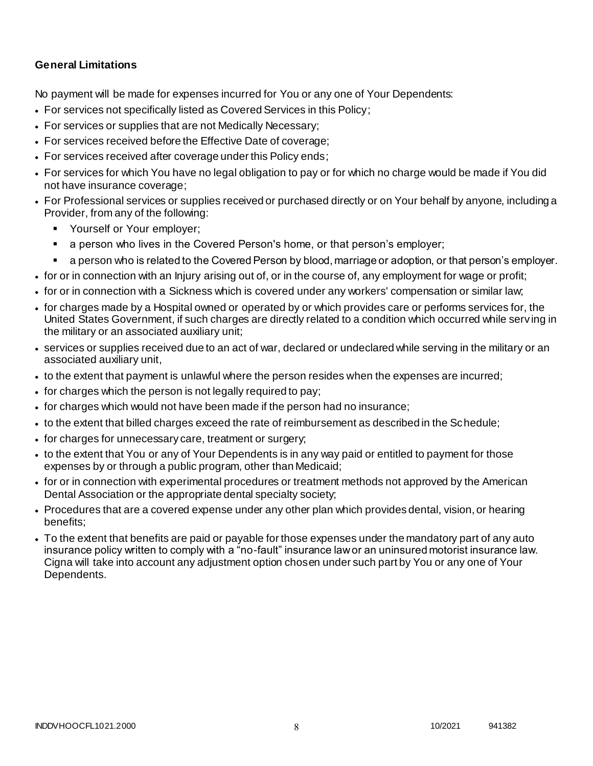## **General Limitations**

No payment will be made for expenses incurred for You or any one of Your Dependents:

- For services not specifically listed as Covered Services in this Policy;
- For services or supplies that are not Medically Necessary;
- For services received before the Effective Date of coverage;
- For services received after coverage under this Policy ends;
- For services for which You have no legal obligation to pay or for which no charge would be made if You did not have insurance coverage;
- For Professional services or supplies received or purchased directly or on Your behalf by anyone, including a Provider, from any of the following:
	- **Yourself or Your employer;**
	- a person who lives in the Covered Person's home, or that person's employer;
	- a person who is related to the Covered Person by blood, marriage or adoption, or that person's employer.
- for or in connection with an Injury arising out of, or in the course of, any employment for wage or profit;
- for or in connection with a Sickness which is covered under any workers' compensation or similar law;
- for charges made by a Hospital owned or operated by or which provides care or performs services for, the United States Government, if such charges are directly related to a condition which occurred while serv ing in the military or an associated auxiliary unit;
- services or supplies received due to an act of war, declared or undeclared while serving in the military or an associated auxiliary unit,
- to the extent that payment is unlawful where the person resides when the expenses are incurred;
- for charges which the person is not legally required to pay;
- for charges which would not have been made if the person had no insurance;
- to the extent that billed charges exceed the rate of reimbursement as described in the Schedule;
- for charges for unnecessary care, treatment or surgery;
- to the extent that You or any of Your Dependents is in any way paid or entitled to payment for those expenses by or through a public program, other than Medicaid;
- for or in connection with experimental procedures or treatment methods not approved by the American Dental Association or the appropriate dental specialty society;
- Procedures that are a covered expense under any other plan which provides dental, vision, or hearing benefits;
- To the extent that benefits are paid or payable for those expenses under the mandatory part of any auto insurance policy written to comply with a "no-fault" insurance law or an uninsured motorist insurance law. Cigna will take into account any adjustment option chosen under such part by You or any one of Your Dependents.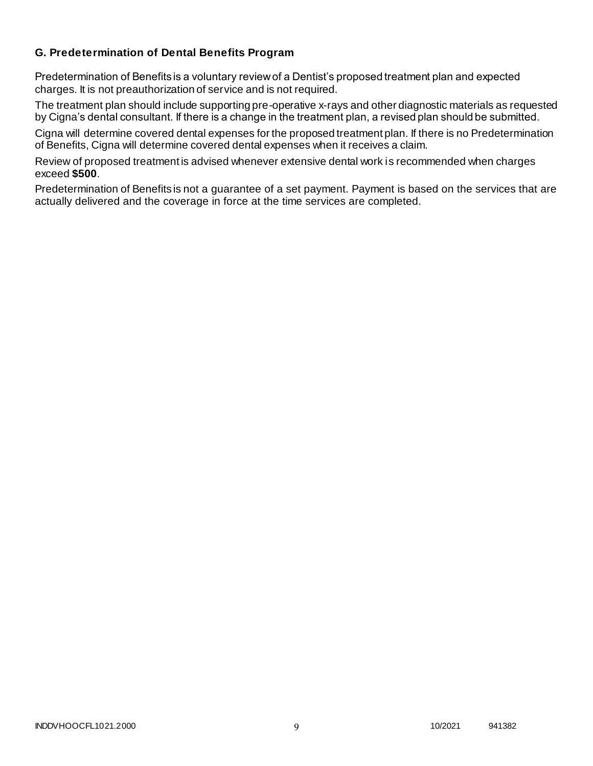## **G. Predetermination of Dental Benefits Program**

Predetermination of Benefits is a voluntary review of a Dentist's proposed treatment plan and expected charges. It is not preauthorization of service and is not required.

The treatment plan should include supporting pre-operative x-rays and other diagnostic materials as requested by Cigna's dental consultant. If there is a change in the treatment plan, a revised plan should be submitted.

Cigna will determine covered dental expenses for the proposed treatment plan. If there is no Predetermination of Benefits, Cigna will determine covered dental expenses when it receives a claim.

Review of proposed treatment is advised whenever extensive dental work is recommended when charges exceed **\$500**.

Predetermination of Benefits is not a guarantee of a set payment. Payment is based on the services that are actually delivered and the coverage in force at the time services are completed.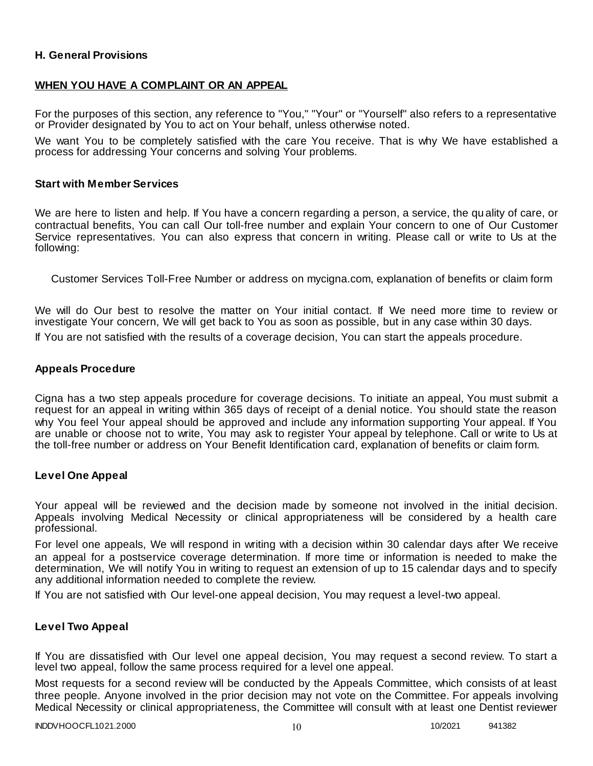### **H. General Provisions**

### **WHEN YOU HAVE A COMPLAINT OR AN APPEAL**

For the purposes of this section, any reference to "You," "Your" or "Yourself" also refers to a representative or Provider designated by You to act on Your behalf, unless otherwise noted.

We want You to be completely satisfied with the care You receive. That is why We have established a process for addressing Your concerns and solving Your problems.

#### **Start with Member Services**

We are here to listen and help. If You have a concern regarding a person, a service, the qu ality of care, or contractual benefits, You can call Our toll-free number and explain Your concern to one of Our Customer Service representatives. You can also express that concern in writing. Please call or write to Us at the following:

Customer Services Toll-Free Number or address on mycigna.com, explanation of benefits or claim form

We will do Our best to resolve the matter on Your initial contact. If We need more time to review or investigate Your concern, We will get back to You as soon as possible, but in any case within 30 days.

If You are not satisfied with the results of a coverage decision, You can start the appeals procedure.

#### **Appeals Procedure**

Cigna has a two step appeals procedure for coverage decisions. To initiate an appeal, You must submit a request for an appeal in writing within 365 days of receipt of a denial notice. You should state the reason why You feel Your appeal should be approved and include any information supporting Your appeal. If You are unable or choose not to write, You may ask to register Your appeal by telephone. Call or write to Us at the toll-free number or address on Your Benefit Identification card, explanation of benefits or claim form.

#### **Level One Appeal**

Your appeal will be reviewed and the decision made by someone not involved in the initial decision. Appeals involving Medical Necessity or clinical appropriateness will be considered by a health care professional.

For level one appeals, We will respond in writing with a decision within 30 calendar days after We receive an appeal for a postservice coverage determination. If more time or information is needed to make the determination, We will notify You in writing to request an extension of up to 15 calendar days and to specify any additional information needed to complete the review.

If You are not satisfied with Our level-one appeal decision, You may request a level-two appeal.

#### **Level Two Appeal**

If You are dissatisfied with Our level one appeal decision, You may request a second review. To start a level two appeal, follow the same process required for a level one appeal.

Most requests for a second review will be conducted by the Appeals Committee, which consists of at least three people. Anyone involved in the prior decision may not vote on the Committee. For appeals involving Medical Necessity or clinical appropriateness, the Committee will consult with at least one Dentist reviewer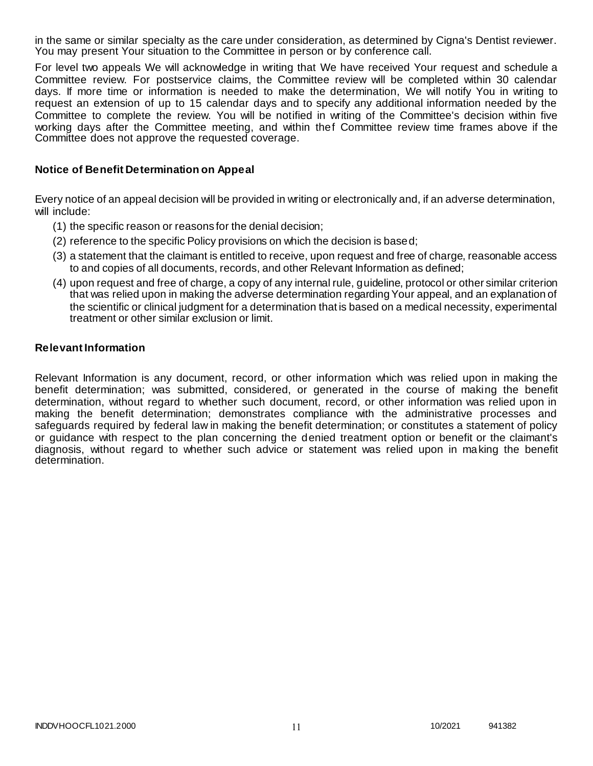in the same or similar specialty as the care under consideration, as determined by Cigna's Dentist reviewer. You may present Your situation to the Committee in person or by conference call.

For level two appeals We will acknowledge in writing that We have received Your request and schedule a Committee review. For postservice claims, the Committee review will be completed within 30 calendar days. If more time or information is needed to make the determination, We will notify You in writing to request an extension of up to 15 calendar days and to specify any additional information needed by the Committee to complete the review. You will be notified in writing of the Committee's decision within five working days after the Committee meeting, and within thef Committee review time frames above if the Committee does not approve the requested coverage.

### **Notice of Benefit Determination on Appeal**

Every notice of an appeal decision will be provided in writing or electronically and, if an adverse determination, will include:

- (1) the specific reason or reasons for the denial decision;
- (2) reference to the specific Policy provisions on which the decision is based;
- (3) a statement that the claimant is entitled to receive, upon request and free of charge, reasonable access to and copies of all documents, records, and other Relevant Information as defined;
- (4) upon request and free of charge, a copy of any internal rule, guideline, protocol or other similar criterion that was relied upon in making the adverse determination regarding Your appeal, and an explanation of the scientific or clinical judgment for a determination that is based on a medical necessity, experimental treatment or other similar exclusion or limit.

### **Relevant Information**

Relevant Information is any document, record, or other information which was relied upon in making the benefit determination; was submitted, considered, or generated in the course of making the benefit determination, without regard to whether such document, record, or other information was relied upon in making the benefit determination; demonstrates compliance with the administrative processes and safeguards required by federal law in making the benefit determination; or constitutes a statement of policy or guidance with respect to the plan concerning the denied treatment option or benefit or the claimant's diagnosis, without regard to whether such advice or statement was relied upon in making the benefit determination.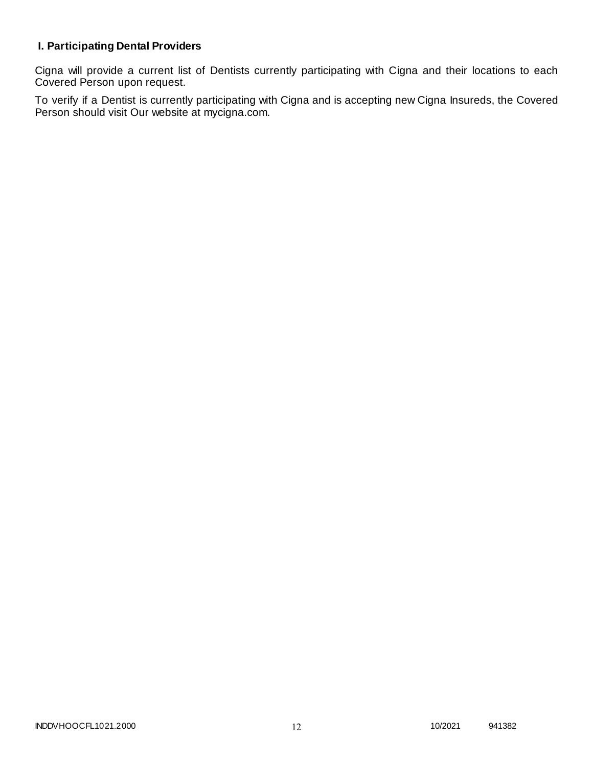# **I. Participating Dental Providers**

Cigna will provide a current list of Dentists currently participating with Cigna and their locations to each Covered Person upon request.

To verify if a Dentist is currently participating with Cigna and is accepting new Cigna Insureds, the Covered Person should visit Our website at mycigna.com.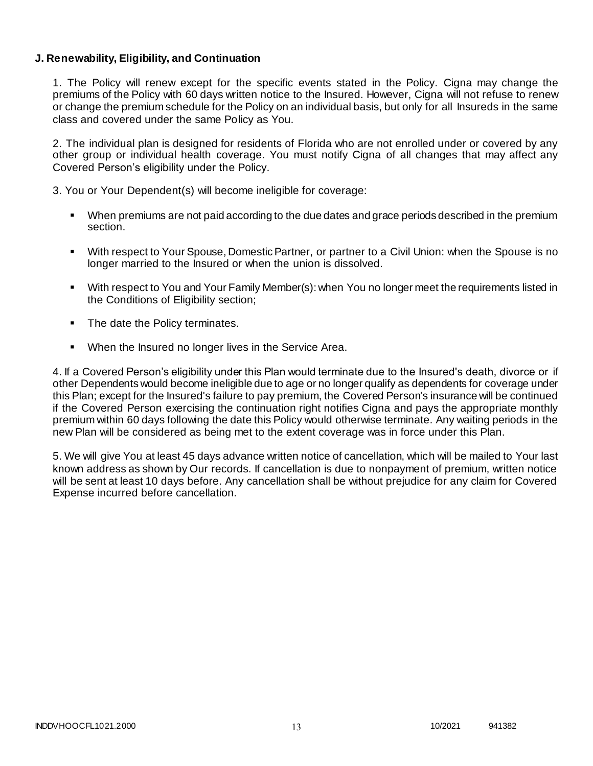### **J. Renewability, Eligibility, and Continuation**

1. The Policy will renew except for the specific events stated in the Policy. Cigna may change the premiums of the Policy with 60 days written notice to the Insured. However, Cigna will not refuse to renew or change the premium schedule for the Policy on an individual basis, but only for all Insureds in the same class and covered under the same Policy as You.

2. The individual plan is designed for residents of Florida who are not enrolled under or covered by any other group or individual health coverage. You must notify Cigna of all changes that may affect any Covered Person's eligibility under the Policy.

3. You or Your Dependent(s) will become ineligible for coverage:

- When premiums are not paid according to the due dates and grace periods described in the premium section.
- With respect to Your Spouse, Domestic Partner, or partner to a Civil Union: when the Spouse is no longer married to the Insured or when the union is dissolved.
- With respect to You and Your Family Member(s): when You no longer meet the requirements listed in the Conditions of Eligibility section;
- The date the Policy terminates.
- When the Insured no longer lives in the Service Area.

4. If a Covered Person's eligibility under this Plan would terminate due to the Insured's death, divorce or if other Dependents would become ineligible due to age or no longer qualify as dependents for coverage under this Plan; except for the Insured's failure to pay premium, the Covered Person's insurance will be continued if the Covered Person exercising the continuation right notifies Cigna and pays the appropriate monthly premium within 60 days following the date this Policy would otherwise terminate. Any waiting periods in the new Plan will be considered as being met to the extent coverage was in force under this Plan.

5. We will give You at least 45 days advance written notice of cancellation, which will be mailed to Your last known address as shown by Our records. If cancellation is due to nonpayment of premium, written notice will be sent at least 10 days before. Any cancellation shall be without prejudice for any claim for Covered Expense incurred before cancellation.